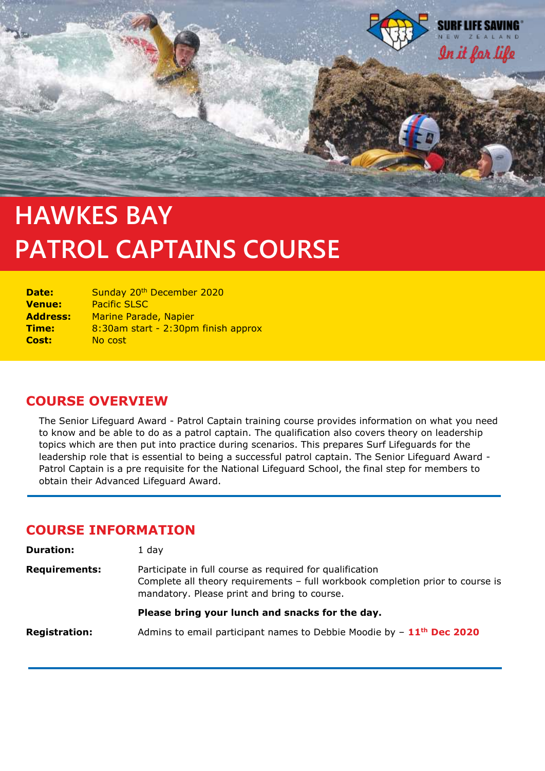

# **PATROL CAPTAINS COURSE HAWKES BAY**

| Date:           | Sunday 20th December 2020           |
|-----------------|-------------------------------------|
| <b>Venue:</b>   | <b>Pacific SLSC</b>                 |
| <b>Address:</b> | Marine Parade, Napier               |
| Time:           | 8:30am start - 2:30pm finish approx |
| Cost:           | No cost                             |

## **COURSE OVERVIEW**

The Senior Lifeguard Award - Patrol Captain training course provides information on what you need to know and be able to do as a patrol captain. The qualification also covers theory on leadership topics which are then put into practice during scenarios. This prepares Surf Lifeguards for the leadership role that is essential to being a successful patrol captain. The Senior Lifeguard Award - Patrol Captain is a pre requisite for the National Lifeguard School, the final step for members to obtain their Advanced Lifeguard Award.

## **COURSE INFORMATION**

| <b>Duration:</b>     | 1 day                                                                                                                                                                                      |
|----------------------|--------------------------------------------------------------------------------------------------------------------------------------------------------------------------------------------|
| <b>Requirements:</b> | Participate in full course as required for qualification<br>Complete all theory requirements - full workbook completion prior to course is<br>mandatory. Please print and bring to course. |
|                      | Please bring your lunch and snacks for the day.                                                                                                                                            |
| <b>Registration:</b> | Admins to email participant names to Debbie Moodie by $-11$ <sup>th</sup> Dec 2020                                                                                                         |